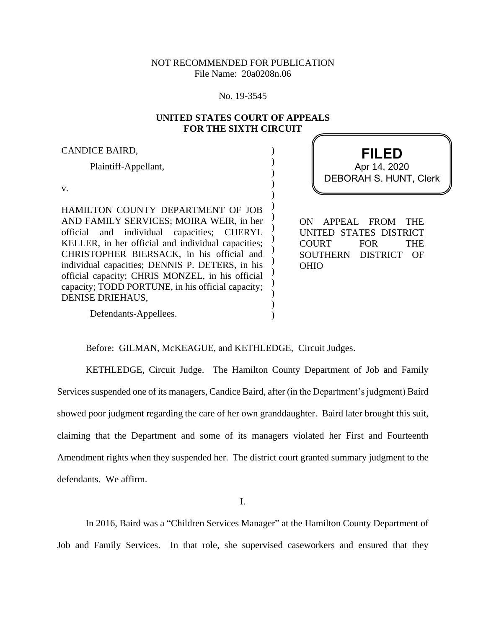# NOT RECOMMENDED FOR PUBLICATION File Name: 20a0208n.06

#### No. 19-3545

## **UNITED STATES COURT OF APPEALS FOR THE SIXTH CIRCUIT**

) ) ) ) ) ) ) ) ) ) ) ) ) ) ) )

### CANDICE BAIRD,

Plaintiff-Appellant,

v.

HAMILTON COUNTY DEPARTMENT OF JOB AND FAMILY SERVICES; MOIRA WEIR, in her official and individual capacities; CHERYL KELLER, in her official and individual capacities; CHRISTOPHER BIERSACK, in his official and individual capacities; DENNIS P. DETERS, in his official capacity; CHRIS MONZEL, in his official capacity; TODD PORTUNE, in his official capacity; DENISE DRIEHAUS,

Defendants-Appellees.

**FILED** DEBORAH S. HUNT, Clerk Apr 14, 2020

ON APPEAL FROM THE UNITED STATES DISTRICT COURT FOR THE SOUTHERN DISTRICT OF OHIO

Before: GILMAN, McKEAGUE, and KETHLEDGE, Circuit Judges.

KETHLEDGE, Circuit Judge. The Hamilton County Department of Job and Family Services suspended one of its managers, Candice Baird, after (in the Department's judgment) Baird showed poor judgment regarding the care of her own granddaughter. Baird later brought this suit, claiming that the Department and some of its managers violated her First and Fourteenth Amendment rights when they suspended her. The district court granted summary judgment to the defendants. We affirm.

I.

In 2016, Baird was a "Children Services Manager" at the Hamilton County Department of Job and Family Services. In that role, she supervised caseworkers and ensured that they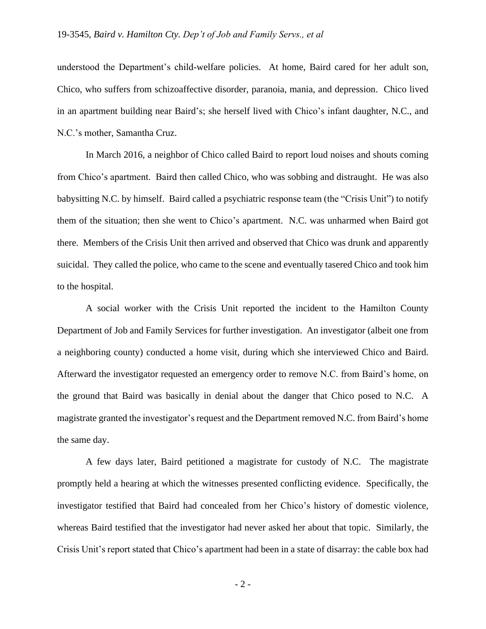understood the Department's child-welfare policies. At home, Baird cared for her adult son, Chico, who suffers from schizoaffective disorder, paranoia, mania, and depression. Chico lived in an apartment building near Baird's; she herself lived with Chico's infant daughter, N.C., and N.C.'s mother, Samantha Cruz.

In March 2016, a neighbor of Chico called Baird to report loud noises and shouts coming from Chico's apartment. Baird then called Chico, who was sobbing and distraught. He was also babysitting N.C. by himself. Baird called a psychiatric response team (the "Crisis Unit") to notify them of the situation; then she went to Chico's apartment. N.C. was unharmed when Baird got there. Members of the Crisis Unit then arrived and observed that Chico was drunk and apparently suicidal. They called the police, who came to the scene and eventually tasered Chico and took him to the hospital.

A social worker with the Crisis Unit reported the incident to the Hamilton County Department of Job and Family Services for further investigation. An investigator (albeit one from a neighboring county) conducted a home visit, during which she interviewed Chico and Baird. Afterward the investigator requested an emergency order to remove N.C. from Baird's home, on the ground that Baird was basically in denial about the danger that Chico posed to N.C. A magistrate granted the investigator's request and the Department removed N.C. from Baird's home the same day.

A few days later, Baird petitioned a magistrate for custody of N.C. The magistrate promptly held a hearing at which the witnesses presented conflicting evidence. Specifically, the investigator testified that Baird had concealed from her Chico's history of domestic violence, whereas Baird testified that the investigator had never asked her about that topic. Similarly, the Crisis Unit's report stated that Chico's apartment had been in a state of disarray: the cable box had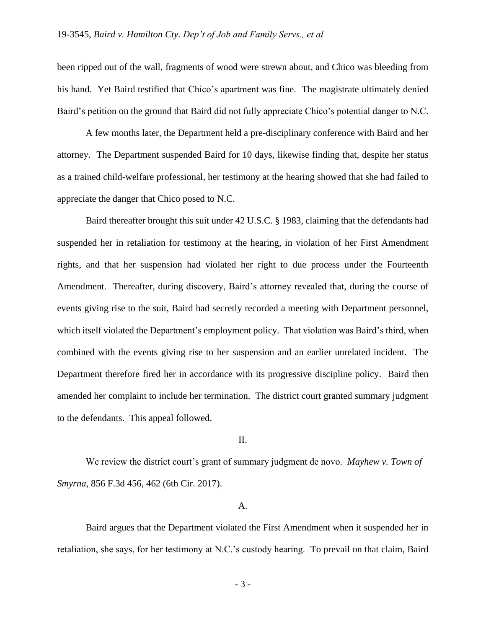been ripped out of the wall, fragments of wood were strewn about, and Chico was bleeding from his hand. Yet Baird testified that Chico's apartment was fine. The magistrate ultimately denied Baird's petition on the ground that Baird did not fully appreciate Chico's potential danger to N.C.

A few months later, the Department held a pre-disciplinary conference with Baird and her attorney. The Department suspended Baird for 10 days, likewise finding that, despite her status as a trained child-welfare professional, her testimony at the hearing showed that she had failed to appreciate the danger that Chico posed to N.C.

Baird thereafter brought this suit under 42 U.S.C. § 1983, claiming that the defendants had suspended her in retaliation for testimony at the hearing, in violation of her First Amendment rights, and that her suspension had violated her right to due process under the Fourteenth Amendment. Thereafter, during discovery, Baird's attorney revealed that, during the course of events giving rise to the suit, Baird had secretly recorded a meeting with Department personnel, which itself violated the Department's employment policy. That violation was Baird's third, when combined with the events giving rise to her suspension and an earlier unrelated incident. The Department therefore fired her in accordance with its progressive discipline policy. Baird then amended her complaint to include her termination. The district court granted summary judgment to the defendants. This appeal followed.

### II.

We review the district court's grant of summary judgment de novo. *Mayhew v. Town of Smyrna*, 856 F.3d 456, 462 (6th Cir. 2017).

#### A.

Baird argues that the Department violated the First Amendment when it suspended her in retaliation, she says, for her testimony at N.C.'s custody hearing. To prevail on that claim, Baird

- 3 -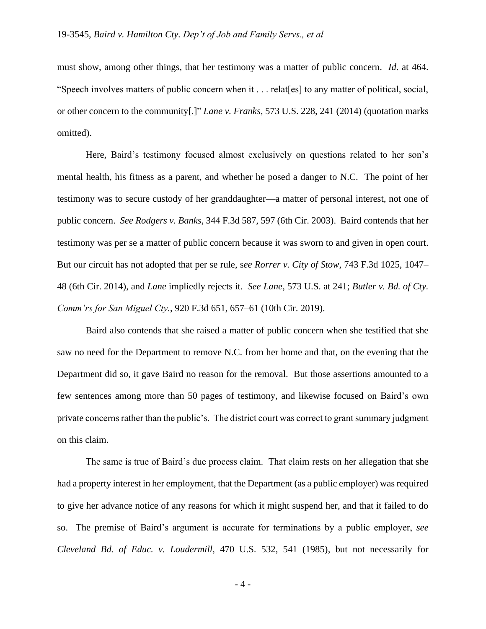must show, among other things, that her testimony was a matter of public concern. *Id*. at 464. "Speech involves matters of public concern when it . . . relat[es] to any matter of political, social, or other concern to the community[.]" *Lane v. Franks*, 573 U.S. 228, 241 (2014) (quotation marks omitted).

Here, Baird's testimony focused almost exclusively on questions related to her son's mental health, his fitness as a parent, and whether he posed a danger to N.C. The point of her testimony was to secure custody of her granddaughter—a matter of personal interest, not one of public concern. *See Rodgers v. Banks*, 344 F.3d 587, 597 (6th Cir. 2003). Baird contends that her testimony was per se a matter of public concern because it was sworn to and given in open court. But our circuit has not adopted that per se rule, s*ee Rorrer v. City of Stow*, 743 F.3d 1025, 1047– 48 (6th Cir. 2014), and *Lane* impliedly rejects it. *See Lane*, 573 U.S. at 241; *Butler v. Bd. of Cty. Comm'rs for San Miguel Cty.*, 920 F.3d 651, 657–61 (10th Cir. 2019).

Baird also contends that she raised a matter of public concern when she testified that she saw no need for the Department to remove N.C. from her home and that, on the evening that the Department did so, it gave Baird no reason for the removal. But those assertions amounted to a few sentences among more than 50 pages of testimony, and likewise focused on Baird's own private concerns rather than the public's. The district court was correct to grant summary judgment on this claim.

The same is true of Baird's due process claim. That claim rests on her allegation that she had a property interest in her employment, that the Department (as a public employer) was required to give her advance notice of any reasons for which it might suspend her, and that it failed to do so. The premise of Baird's argument is accurate for terminations by a public employer, *see Cleveland Bd. of Educ. v. Loudermill*, 470 U.S. 532, 541 (1985), but not necessarily for

- 4 -